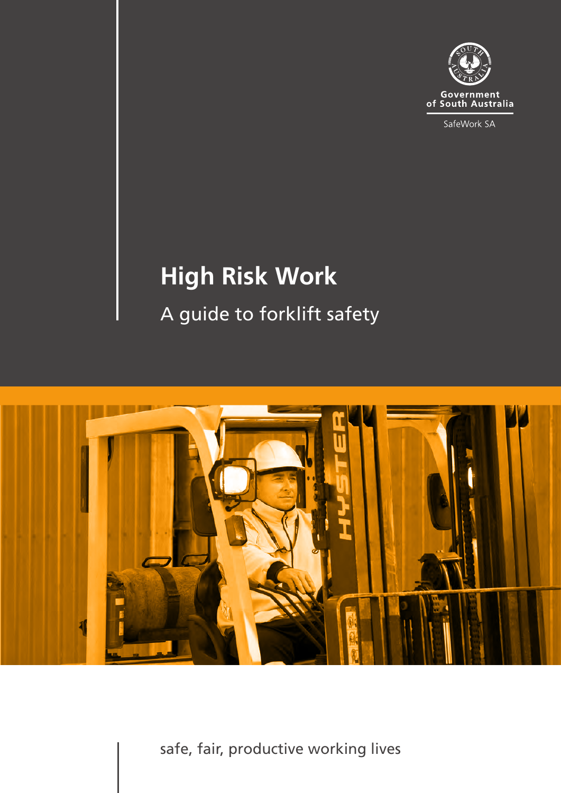

SafeWork SA

# **High Risk Work** A guide to forklift safety



safe, fair, productive working lives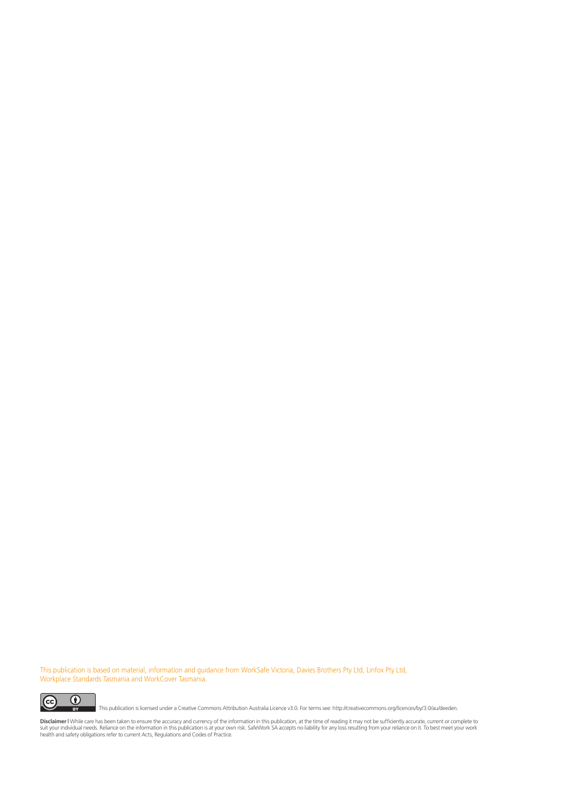This publication is based on material, information and guidance from WorkSafe Victoria, Davies Brothers Pty Ltd, Linfox Pty Ltd, Workplace Standards Tasmania and WorkCover Tasmania.



This publication is licensed under a Creative Commons Attribution Australia Licence v3.0. For terms see: http://creativecommons.org/licences/by/3.0/au/deeden.

**Disclaimer I** While care has been taken to ensure the accuracy and currency of the information in this publication, at the time of reading it may not be sufficiently accurate, current or complete to<br>suit your individual n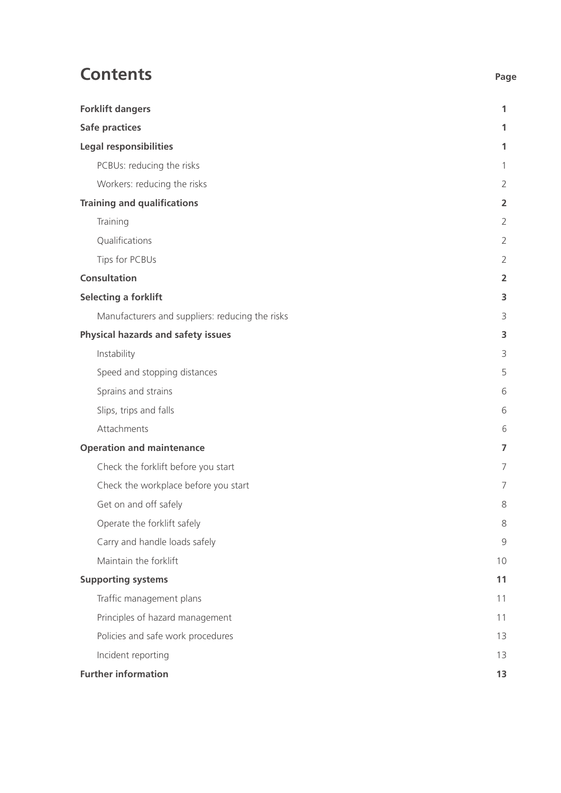# **Contents** Page

| <b>Forklift dangers</b>                         | 1              |
|-------------------------------------------------|----------------|
| <b>Safe practices</b>                           | 1              |
| <b>Legal responsibilities</b>                   | 1              |
| PCBUs: reducing the risks                       |                |
| Workers: reducing the risks                     | $\overline{2}$ |
| <b>Training and qualifications</b>              | $\overline{a}$ |
| Training                                        | $\overline{2}$ |
| Qualifications                                  | $\overline{2}$ |
| Tips for PCBUs                                  | $\overline{2}$ |
| <b>Consultation</b>                             | 2              |
| <b>Selecting a forklift</b>                     | 3              |
| Manufacturers and suppliers: reducing the risks | 3              |
| Physical hazards and safety issues              | 3              |
| Instability                                     | 3              |
| Speed and stopping distances                    | 5              |
| Sprains and strains                             | 6              |
| Slips, trips and falls                          | 6              |
| Attachments                                     | 6              |
| <b>Operation and maintenance</b>                | 7              |
| Check the forklift before you start             | 7              |
| Check the workplace before you start            | 7              |
| Get on and off safely                           | 8              |
| Operate the forklift safely                     | 8              |
| Carry and handle loads safely                   | 9              |
| Maintain the forklift                           | 10             |
| <b>Supporting systems</b>                       | 11             |
| Traffic management plans                        | 11             |
| Principles of hazard management                 | 11             |
| Policies and safe work procedures               | 13             |
| Incident reporting                              | 13             |
| <b>Further information</b>                      | 13             |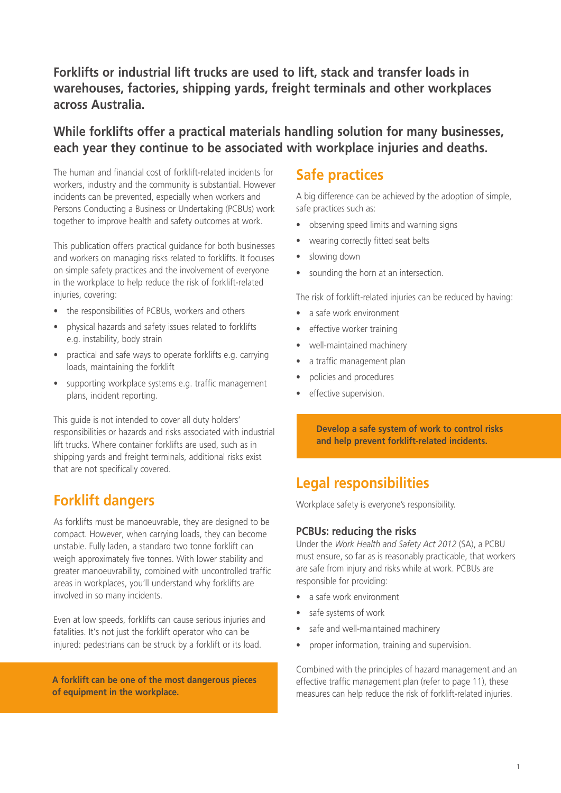### **Forklifts or industrial lift trucks are used to lift, stack and transfer loads in warehouses, factories, shipping yards, freight terminals and other workplaces across Australia.**

### **While forklifts offer a practical materials handling solution for many businesses, each year they continue to be associated with workplace injuries and deaths.**

The human and financial cost of forklift-related incidents for workers, industry and the community is substantial. However incidents can be prevented, especially when workers and Persons Conducting a Business or Undertaking (PCBUs) work together to improve health and safety outcomes at work.

This publication offers practical guidance for both businesses and workers on managing risks related to forklifts. It focuses on simple safety practices and the involvement of everyone in the workplace to help reduce the risk of forklift-related injuries, covering:

- the responsibilities of PCBUs, workers and others
- physical hazards and safety issues related to forklifts e.g. instability, body strain
- practical and safe ways to operate forklifts e.g. carrying loads, maintaining the forklift
- supporting workplace systems e.g. traffic management plans, incident reporting.

This guide is not intended to cover all duty holders' responsibilities or hazards and risks associated with industrial lift trucks. Where container forklifts are used, such as in shipping yards and freight terminals, additional risks exist that are not specifically covered.

# **Forklift dangers**

As forklifts must be manoeuvrable, they are designed to be compact. However, when carrying loads, they can become unstable. Fully laden, a standard two tonne forklift can weigh approximately five tonnes. With lower stability and greater manoeuvrability, combined with uncontrolled traffic areas in workplaces, you'll understand why forklifts are involved in so many incidents.

Even at low speeds, forklifts can cause serious injuries and fatalities. It's not just the forklift operator who can be injured: pedestrians can be struck by a forklift or its load.

**A forklift can be one of the most dangerous pieces of equipment in the workplace.**

### **Safe practices**

A big difference can be achieved by the adoption of simple, safe practices such as:

- observing speed limits and warning signs
- wearing correctly fitted seat belts
- slowing down
- sounding the horn at an intersection.

The risk of forklift-related injuries can be reduced by having:

- a safe work environment
- effective worker training
- well-maintained machinery
- a traffic management plan
- • policies and procedures
- effective supervision.

**Develop a safe system of work to control risks and help prevent forklift-related incidents.**

# **Legal responsibilities**

Workplace safety is everyone's responsibility.

### **PCBUs: reducing the risks**

Under the *Work Health and Safety Act 2012* (SA), a PCBU must ensure, so far as is reasonably practicable, that workers are safe from injury and risks while at work. PCBUs are responsible for providing:

- a safe work environment
- safe systems of work
- safe and well-maintained machinery
- proper information, training and supervision.

Combined with the principles of hazard management and an effective traffic management plan (refer to page 11), these measures can help reduce the risk of forklift-related injuries.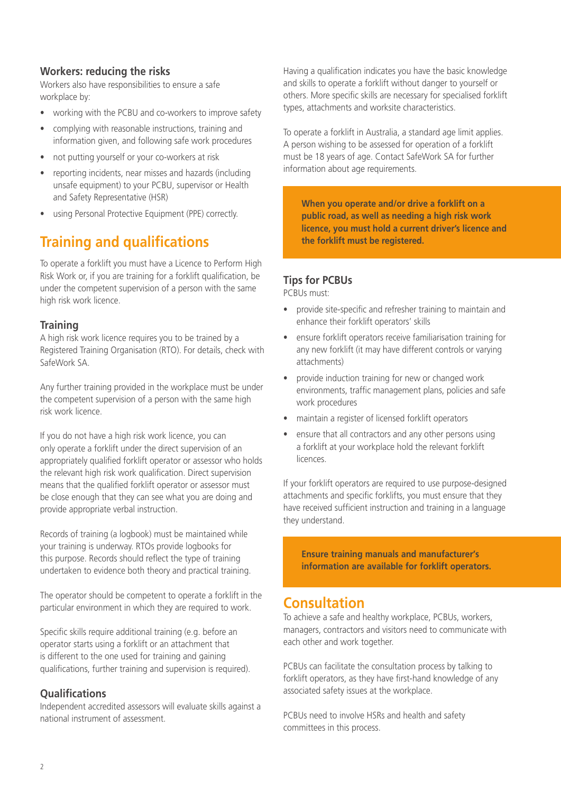### **Workers: reducing the risks**

Workers also have responsibilities to ensure a safe workplace by:

- working with the PCBU and co-workers to improve safety
- complying with reasonable instructions, training and information given, and following safe work procedures
- not putting yourself or your co-workers at risk
- reporting incidents, near misses and hazards (including unsafe equipment) to your PCBU, supervisor or Health and Safety Representative (HSR)
- using Personal Protective Equipment (PPE) correctly.

# **Training and qualifications**

To operate a forklift you must have a Licence to Perform High Risk Work or, if you are training for a forklift qualification, be under the competent supervision of a person with the same high risk work licence.

### **Training**

A high risk work licence requires you to be trained by a Registered Training Organisation (RTO). For details, check with SafeWork SA.

Any further training provided in the workplace must be under the competent supervision of a person with the same high risk work licence.

If you do not have a high risk work licence, you can only operate a forklift under the direct supervision of an appropriately qualified forklift operator or assessor who holds the relevant high risk work qualification. Direct supervision means that the qualified forklift operator or assessor must be close enough that they can see what you are doing and provide appropriate verbal instruction.

Records of training (a logbook) must be maintained while your training is underway. RTOs provide logbooks for this purpose. Records should reflect the type of training undertaken to evidence both theory and practical training.

The operator should be competent to operate a forklift in the particular environment in which they are required to work.

Specific skills require additional training (e.g. before an operator starts using a forklift or an attachment that is different to the one used for training and gaining qualifications, further training and supervision is required).

### **Qualifications**

Independent accredited assessors will evaluate skills against a national instrument of assessment.

Having a qualification indicates you have the basic knowledge and skills to operate a forklift without danger to yourself or others. More specific skills are necessary for specialised forklift types, attachments and worksite characteristics.

To operate a forklift in Australia, a standard age limit applies. A person wishing to be assessed for operation of a forklift must be 18 years of age. Contact SafeWork SA for further information about age requirements.

**When you operate and/or drive a forklift on a public road, as well as needing a high risk work licence, you must hold a current driver's licence and the forklift must be registered.** 

### **Tips for PCBUs**

PCBUs must:

- provide site-specific and refresher training to maintain and enhance their forklift operators' skills
- ensure forklift operators receive familiarisation training for any new forklift (it may have different controls or varying attachments)
- provide induction training for new or changed work environments, traffic management plans, policies and safe work procedures
- maintain a register of licensed forklift operators
- ensure that all contractors and any other persons using a forklift at your workplace hold the relevant forklift licences.

If your forklift operators are required to use purpose-designed attachments and specific forklifts, you must ensure that they have received sufficient instruction and training in a language they understand.

**Ensure training manuals and manufacturer's information are available for forklift operators.** 

### **Consultation**

To achieve a safe and healthy workplace, PCBUs, workers, managers, contractors and visitors need to communicate with each other and work together.

PCBUs can facilitate the consultation process by talking to forklift operators, as they have first-hand knowledge of any associated safety issues at the workplace.

PCBUs need to involve HSRs and health and safety committees in this process.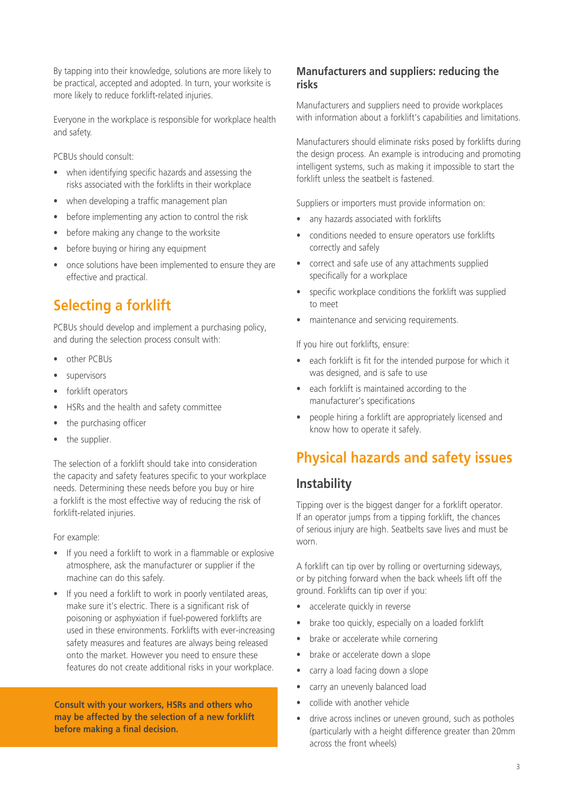By tapping into their knowledge, solutions are more likely to be practical, accepted and adopted. In turn, your worksite is more likely to reduce forklift-related injuries.

Everyone in the workplace is responsible for workplace health and safety.

PCBUs should consult:

- when identifying specific hazards and assessing the risks associated with the forklifts in their workplace
- when developing a traffic management plan
- before implementing any action to control the risk
- before making any change to the worksite
- before buying or hiring any equipment
- once solutions have been implemented to ensure they are effective and practical.

# **Selecting a forklift**

PCBUs should develop and implement a purchasing policy, and during the selection process consult with:

- other PCBUs
- supervisors
- forklift operators
- HSRs and the health and safety committee
- the purchasing officer
- the supplier.

The selection of a forklift should take into consideration the capacity and safety features specific to your workplace needs. Determining these needs before you buy or hire a forklift is the most effective way of reducing the risk of forklift-related injuries.

For example:

- If you need a forklift to work in a flammable or explosive atmosphere, ask the manufacturer or supplier if the machine can do this safely.
- If you need a forklift to work in poorly ventilated areas, make sure it's electric. There is a significant risk of poisoning or asphyxiation if fuel-powered forklifts are used in these environments. Forklifts with ever-increasing safety measures and features are always being released onto the market. However you need to ensure these features do not create additional risks in your workplace.

**Consult with your workers, HSRs and others who may be affected by the selection of a new forklift before making a final decision.** 

### **Manufacturers and suppliers: reducing the risks**

Manufacturers and suppliers need to provide workplaces with information about a forklift's capabilities and limitations.

Manufacturers should eliminate risks posed by forklifts during the design process. An example is introducing and promoting intelligent systems, such as making it impossible to start the forklift unless the seatbelt is fastened.

Suppliers or importers must provide information on:

- any hazards associated with forklifts
- conditions needed to ensure operators use forklifts correctly and safely
- correct and safe use of any attachments supplied specifically for a workplace
- specific workplace conditions the forklift was supplied to meet
- maintenance and servicing requirements.

If you hire out forklifts, ensure:

- each forklift is fit for the intended purpose for which it was designed, and is safe to use
- each forklift is maintained according to the manufacturer's specifications
- • people hiring a forklift are appropriately licensed and know how to operate it safely.

# **Physical hazards and safety issues**

### **Instability**

Tipping over is the biggest danger for a forklift operator. If an operator jumps from a tipping forklift, the chances of serious injury are high. Seatbelts save lives and must be worn.

A forklift can tip over by rolling or overturning sideways, or by pitching forward when the back wheels lift off the ground. Forklifts can tip over if you:

- accelerate quickly in reverse
- brake too quickly, especially on a loaded forklift
- brake or accelerate while cornering
- brake or accelerate down a slope
- carry a load facing down a slope
- carry an unevenly balanced load
- collide with another vehicle
- drive across inclines or uneven ground, such as potholes (particularly with a height difference greater than 20mm across the front wheels)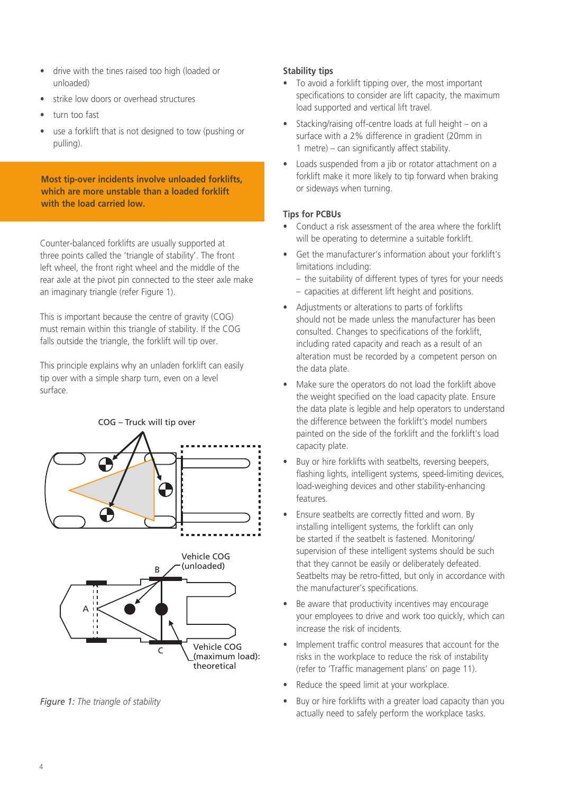- drive with the tines raised too high (loaded or unloaded)
- strike low doors or overhead structures
- turn too fast
- use a forklift that is not designed to tow (pushing or pulling).

**Most tip-over incidents involve unloaded forklifts, which are more unstable than a loaded forklift with the load carried low.** 

Counter-balanced forklifts are usually supported at three points called the 'triangle of stability'. The front left wheel, the front right wheel and the middle of the rear axle at the pivot pin connected to the steer axle make an imaginary triangle (refer Figure 1).

This is important because the centre of gravity (COG) must remain within this triangle of stability. If the COG falls outside the triangle, the forklift will tip over.

This principle explains why an unladen forklift can easily tip over with a simple sharp turn, even on a level surface.



(maximum load): theoretical

*Figure 1: The triangle of stability*

### **Stability tips**

- To avoid a forklift tipping over, the most important specifications to consider are lift capacity, the maximum load supported and vertical lift travel.
- Stacking/raising off-centre loads at full height on a surface with a 2% difference in gradient (20mm in 1 metre) – can significantly affect stability.
- Loads suspended from a jib or rotator attachment on a forklift make it more likely to tip forward when braking or sideways when turning.

### **Tips for PCBUs**

- Conduct a risk assessment of the area where the forklift will be operating to determine a suitable forklift.
- Get the manufacturer's information about your forklift's limitations including:
	- the suitability of different types of tyres for your needs
	- capacities at different lift height and positions.
- • Adjustments or alterations to parts of forklifts should not be made unless the manufacturer has been consulted. Changes to specifications of the forklift, including rated capacity and reach as a result of an alteration must be recorded by a competent person on the data plate.
- Make sure the operators do not load the forklift above the weight specified on the load capacity plate. Ensure the data plate is legible and help operators to understand the difference between the forklift's model numbers painted on the side of the forklift and the forklift's load capacity plate.
- Buy or hire forklifts with seatbelts, reversing beepers, flashing lights, intelligent systems, speed-limiting devices, load-weighing devices and other stability-enhancing features.
- Ensure seatbelts are correctly fitted and worn. By installing intelligent systems, the forklift can only be started if the seatbelt is fastened. Monitoring/ supervision of these intelligent systems should be such that they cannot be easily or deliberately defeated. Seatbelts may be retro-fitted, but only in accordance with the manufacturer's specifications.
- Be aware that productivity incentives may encourage your employees to drive and work too quickly, which can increase the risk of incidents.
- Implement traffic control measures that account for the risks in the workplace to reduce the risk of instability (refer to 'Traffic management plans' on page 11).
- Reduce the speed limit at your workplace.
- Buy or hire forklifts with a greater load capacity than you actually need to safely perform the workplace tasks.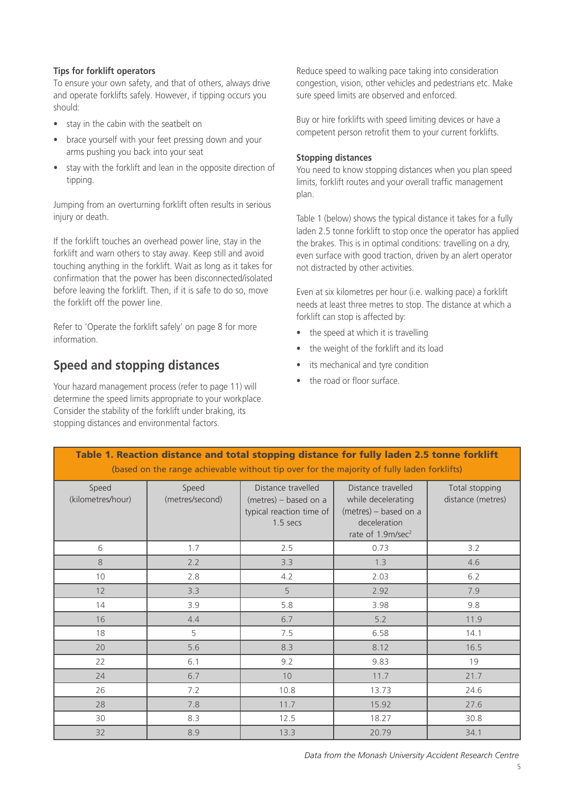### **Tips for forklift operators**

To ensure your own safety, and that of others, always drive and operate forklifts safely. However, if tipping occurs you should:

- stay in the cabin with the seatbelt on
- brace yourself with your feet pressing down and your arms pushing you back into your seat
- stay with the forklift and lean in the opposite direction of tipping.

Jumping from an overturning forklift often results in serious injury or death.

If the forklift touches an overhead power line, stay in the forklift and warn others to stay away. Keep still and avoid touching anything in the forklift. Wait as long as it takes for confirmation that the power has been disconnected/isolated before leaving the forklift. Then, if it is safe to do so, move the forklift off the power line.

Refer to 'Operate the forklift safely' on page 8 for more information.

### **Speed and stopping distances**

Your hazard management process (refer to page 11) will determine the speed limits appropriate to your workplace. Consider the stability of the forklift under braking, its stopping distances and environmental factors.

Reduce speed to walking pace taking into consideration congestion, vision, other vehicles and pedestrians etc. Make sure speed limits are observed and enforced.

Buy or hire forklifts with speed limiting devices or have a competent person retrofit them to your current forklifts.

### **Stopping distances**

You need to know stopping distances when you plan speed limits, forklift routes and your overall traffic management plan.

Table 1 (below) shows the typical distance it takes for a fully laden 2.5 tonne forklift to stop once the operator has applied the brakes. This is in optimal conditions: travelling on a dry, even surface with good traction, driven by an alert operator not distracted by other activities.

Even at six kilometres per hour (i.e. walking pace) a forklift needs at least three metres to stop. The distance at which a forklift can stop is affected by:

- the speed at which it is travelling
- the weight of the forklift and its load
- its mechanical and tyre condition
- the road or floor surface.

| (based on the range achievable without tip over for the majority of fully laden forklifts) |                          |                                                                                     |                                                                                                                    |                                     |
|--------------------------------------------------------------------------------------------|--------------------------|-------------------------------------------------------------------------------------|--------------------------------------------------------------------------------------------------------------------|-------------------------------------|
| Speed<br>(kilometres/hour)                                                                 | Speed<br>(metres/second) | Distance travelled<br>(metres) - based on a<br>typical reaction time of<br>1.5 secs | Distance travelled<br>while decelerating<br>(metres) - based on a<br>deceleration<br>rate of 1.9m/sec <sup>2</sup> | Total stopping<br>distance (metres) |
| 6                                                                                          | 1.7                      | 2.5                                                                                 | 0.73                                                                                                               | 3.2                                 |
| 8                                                                                          | 2.2                      | 3.3                                                                                 | 1.3                                                                                                                | 4.6                                 |
| 10                                                                                         | 2.8                      | 4.2                                                                                 | 2.03                                                                                                               | 6.2                                 |
| 12                                                                                         | 3.3                      | 5                                                                                   | 2.92                                                                                                               | 7.9                                 |
| 14                                                                                         | 3.9                      | 5.8                                                                                 | 3.98                                                                                                               | 9.8                                 |
| 16                                                                                         | 4.4                      | 6.7                                                                                 | 5.2                                                                                                                | 11.9                                |
| 18                                                                                         | 5                        | 7.5                                                                                 | 6.58                                                                                                               | 14.1                                |
| 20                                                                                         | 5.6                      | 8.3                                                                                 | 8.12                                                                                                               | 16.5                                |
| 22                                                                                         | 6.1                      | 9.2                                                                                 | 9.83                                                                                                               | 19                                  |
| 24                                                                                         | 6.7                      | 10 <sup>°</sup>                                                                     | 11.7                                                                                                               | 21.7                                |
| 26                                                                                         | 7.2                      | 10.8                                                                                | 13.73                                                                                                              | 24.6                                |
| 28                                                                                         | 7.8                      | 11.7                                                                                | 15.92                                                                                                              | 27.6                                |
| 30                                                                                         | 8.3                      | 12.5                                                                                | 18.27                                                                                                              | 30.8                                |
| 32                                                                                         | 8.9                      | 13.3                                                                                | 20.79                                                                                                              | 34.1                                |

# Table 1. Reaction distance and total stopping distance for fully laden 2.5 tonne forklift

*Data from the Monash University Accident Research Centre*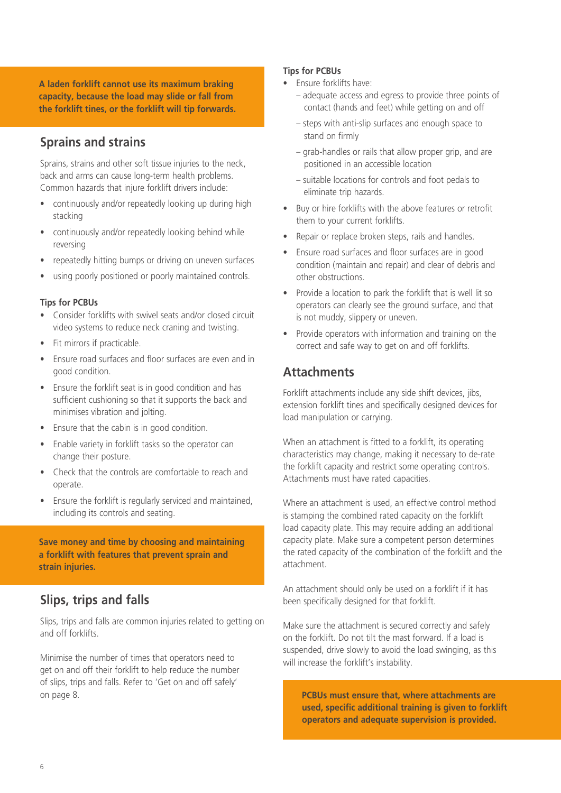**A laden forklift cannot use its maximum braking capacity, because the load may slide or fall from the forklift tines, or the forklift will tip forwards.**

### **Sprains and strains**

Sprains, strains and other soft tissue injuries to the neck, back and arms can cause long-term health problems. Common hazards that injure forklift drivers include:

- continuously and/or repeatedly looking up during high stacking
- continuously and/or repeatedly looking behind while reversing
- repeatedly hitting bumps or driving on uneven surfaces
- using poorly positioned or poorly maintained controls.

### **Tips for PCBUs**

- Consider forklifts with swivel seats and/or closed circuit video systems to reduce neck craning and twisting.
- Fit mirrors if practicable.
- Ensure road surfaces and floor surfaces are even and in good condition.
- Ensure the forklift seat is in good condition and has sufficient cushioning so that it supports the back and minimises vibration and jolting.
- Ensure that the cabin is in good condition.
- Enable variety in forklift tasks so the operator can change their posture.
- Check that the controls are comfortable to reach and operate.
- Ensure the forklift is regularly serviced and maintained, including its controls and seating.

**Save money and time by choosing and maintaining a forklift with features that prevent sprain and strain injuries.**

### **Slips, trips and falls**

Slips, trips and falls are common injuries related to getting on and off forklifts.

Minimise the number of times that operators need to get on and off their forklift to help reduce the number of slips, trips and falls. Refer to 'Get on and off safely' on page 8.

#### **Tips for PCBUs**

- Ensure forklifts have:
	- adequate access and egress to provide three points of contact (hands and feet) while getting on and off
	- steps with anti-slip surfaces and enough space to stand on firmly
	- grab-handles or rails that allow proper grip, and are positioned in an accessible location
	- suitable locations for controls and foot pedals to eliminate trip hazards.
- Buy or hire forklifts with the above features or retrofit them to your current forklifts.
- Repair or replace broken steps, rails and handles.
- Ensure road surfaces and floor surfaces are in good condition (maintain and repair) and clear of debris and other obstructions.
- Provide a location to park the forklift that is well lit so operators can clearly see the ground surface, and that is not muddy, slippery or uneven.
- Provide operators with information and training on the correct and safe way to get on and off forklifts.

### **Attachments**

Forklift attachments include any side shift devices, jibs, extension forklift tines and specifically designed devices for load manipulation or carrying.

When an attachment is fitted to a forklift, its operating characteristics may change, making it necessary to de-rate the forklift capacity and restrict some operating controls. Attachments must have rated capacities.

Where an attachment is used, an effective control method is stamping the combined rated capacity on the forklift load capacity plate. This may require adding an additional capacity plate. Make sure a competent person determines the rated capacity of the combination of the forklift and the attachment.

An attachment should only be used on a forklift if it has been specifically designed for that forklift.

Make sure the attachment is secured correctly and safely on the forklift. Do not tilt the mast forward. If a load is suspended, drive slowly to avoid the load swinging, as this will increase the forklift's instability.

**PCBUs must ensure that, where attachments are used, specific additional training is given to forklift operators and adequate supervision is provided.**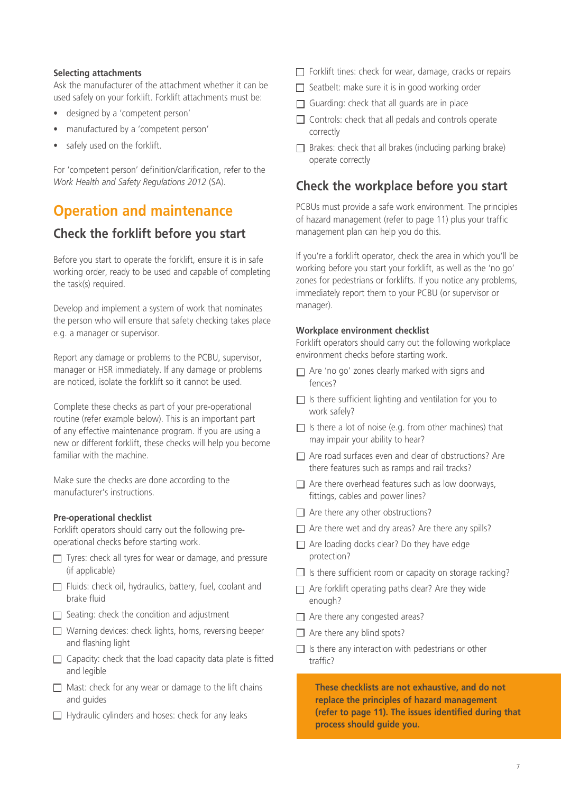#### **Selecting attachments**

Ask the manufacturer of the attachment whether it can be used safely on your forklift. Forklift attachments must be:

- designed by a 'competent person'
- manufactured by a 'competent person'
- safely used on the forklift.

For 'competent person' definition/clarification, refer to the *Work Health and Safety Regulations 2012* (SA).

### **Operation and maintenance**

### **Check the forklift before you start**

Before you start to operate the forklift, ensure it is in safe working order, ready to be used and capable of completing the task(s) required.

Develop and implement a system of work that nominates the person who will ensure that safety checking takes place e.g. a manager or supervisor.

Report any damage or problems to the PCBU, supervisor, manager or HSR immediately. If any damage or problems are noticed, isolate the forklift so it cannot be used.

Complete these checks as part of your pre-operational routine (refer example below). This is an important part of any effective maintenance program. If you are using a new or different forklift, these checks will help you become familiar with the machine.

Make sure the checks are done according to the manufacturer's instructions.

#### **Pre-operational checklist**

Forklift operators should carry out the following preoperational checks before starting work.

- $\Box$  Tyres: check all tyres for wear or damage, and pressure (if applicable)
- $\Box$  Fluids: check oil, hydraulics, battery, fuel, coolant and brake fluid
- $\Box$  Seating: check the condition and adjustment
- $\Box$  Warning devices: check lights, horns, reversing beeper and flashing light
- $\Box$  Capacity: check that the load capacity data plate is fitted and legible
- $\Box$  Mast: check for any wear or damage to the lift chains and guides
- $\Box$  Hydraulic cylinders and hoses: check for any leaks
- $\Box$  Forklift tines: check for wear, damage, cracks or repairs
- $\Box$  Seatbelt: make sure it is in good working order
- $\Box$  Guarding: check that all guards are in place
- $\Box$  Controls: check that all pedals and controls operate correctly
- $\Box$  Brakes: check that all brakes (including parking brake) operate correctly

### **Check the workplace before you start**

PCBUs must provide a safe work environment. The principles of hazard management (refer to page 11) plus your traffic management plan can help you do this.

If you're a forklift operator, check the area in which you'll be working before you start your forklift, as well as the 'no go' zones for pedestrians or forklifts. If you notice any problems, immediately report them to your PCBU (or supervisor or manager).

#### **Workplace environment checklist**

Forklift operators should carry out the following workplace environment checks before starting work.

- $\Box$  Are 'no go' zones clearly marked with signs and fences?
- $\Box$  Is there sufficient lighting and ventilation for you to work safely?
- $\Box$  Is there a lot of noise (e.g. from other machines) that may impair your ability to hear?
- □ Are road surfaces even and clear of obstructions? Are there features such as ramps and rail tracks?
- $\Box$  Are there overhead features such as low doorways, fittings, cables and power lines?
- $\Box$  Are there any other obstructions?
- $\Box$  Are there wet and dry areas? Are there any spills?
- $\Box$  Are loading docks clear? Do they have edge protection?
- $\Box$  Is there sufficient room or capacity on storage racking?
- $\Box$  Are forklift operating paths clear? Are they wide enough?
- $\Box$  Are there any congested areas?
- $\Box$  Are there any blind spots?
- $\Box$  Is there any interaction with pedestrians or other traffic?

**These checklists are not exhaustive, and do not replace the principles of hazard management (refer to page 11). The issues identified during that process should guide you.**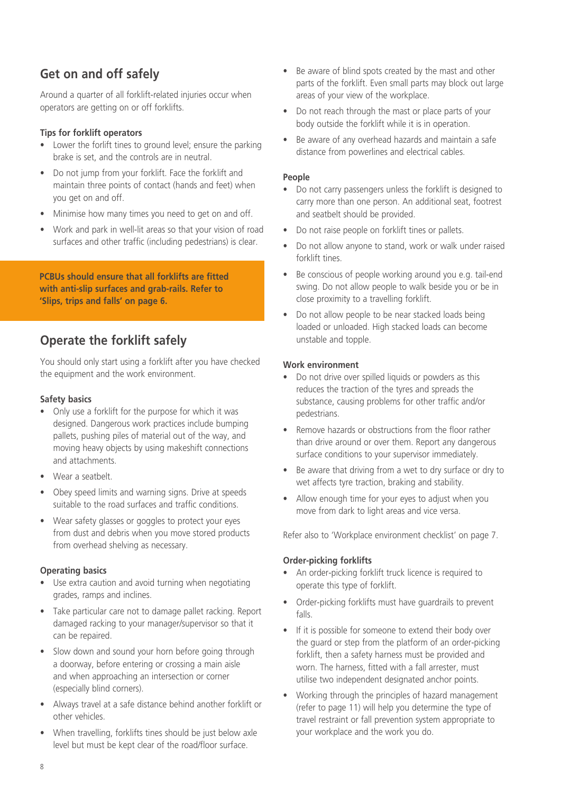### **Get on and off safely**

Around a quarter of all forklift-related injuries occur when operators are getting on or off forklifts.

### **Tips for forklift operators**

- Lower the forlift tines to ground level; ensure the parking brake is set, and the controls are in neutral.
- • Do not jump from your forklift. Face the forklift and maintain three points of contact (hands and feet) when you get on and off.
- Minimise how many times you need to get on and off.
- Work and park in well-lit areas so that your vision of road surfaces and other traffic (including pedestrians) is clear.

**PCBUs should ensure that all forklifts are fitted with anti-slip surfaces and grab-rails. Refer to 'Slips, trips and falls' on page 6.**

### **Operate the forklift safely**

You should only start using a forklift after you have checked the equipment and the work environment.

### **Safety basics**

- Only use a forklift for the purpose for which it was designed. Dangerous work practices include bumping pallets, pushing piles of material out of the way, and moving heavy objects by using makeshift connections and attachments.
- Wear a seatbelt.
- Obey speed limits and warning signs. Drive at speeds suitable to the road surfaces and traffic conditions.
- Wear safety glasses or goggles to protect your eyes from dust and debris when you move stored products from overhead shelving as necessary.

### **Operating basics**

- Use extra caution and avoid turning when negotiating grades, ramps and inclines.
- Take particular care not to damage pallet racking. Report damaged racking to your manager/supervisor so that it can be repaired.
- Slow down and sound your horn before going through a doorway, before entering or crossing a main aisle and when approaching an intersection or corner (especially blind corners).
- • Always travel at a safe distance behind another forklift or other vehicles.
- When travelling, forklifts tines should be just below axle level but must be kept clear of the road/floor surface.
- Be aware of blind spots created by the mast and other parts of the forklift. Even small parts may block out large areas of your view of the workplace.
- Do not reach through the mast or place parts of your body outside the forklift while it is in operation.
- Be aware of any overhead hazards and maintain a safe distance from powerlines and electrical cables.

#### **People**

- Do not carry passengers unless the forklift is designed to carry more than one person. An additional seat, footrest and seatbelt should be provided.
- Do not raise people on forklift tines or pallets.
- Do not allow anyone to stand, work or walk under raised forklift tines.
- Be conscious of people working around you e.g. tail-end swing. Do not allow people to walk beside you or be in close proximity to a travelling forklift.
- Do not allow people to be near stacked loads being loaded or unloaded. High stacked loads can become unstable and topple.

### **Work environment**

- Do not drive over spilled liquids or powders as this reduces the traction of the tyres and spreads the substance, causing problems for other traffic and/or pedestrians.
- Remove hazards or obstructions from the floor rather than drive around or over them. Report any dangerous surface conditions to your supervisor immediately.
- Be aware that driving from a wet to dry surface or dry to wet affects tyre traction, braking and stability.
- Allow enough time for your eyes to adjust when you move from dark to light areas and vice versa.

Refer also to 'Workplace environment checklist' on page 7.

### **Order-picking forklifts**

- An order-picking forklift truck licence is required to operate this type of forklift.
- Order-picking forklifts must have guardrails to prevent falls.
- If it is possible for someone to extend their body over the guard or step from the platform of an order-picking forklift, then a safety harness must be provided and worn. The harness, fitted with a fall arrester, must utilise two independent designated anchor points.
- Working through the principles of hazard management (refer to page 11) will help you determine the type of travel restraint or fall prevention system appropriate to your workplace and the work you do.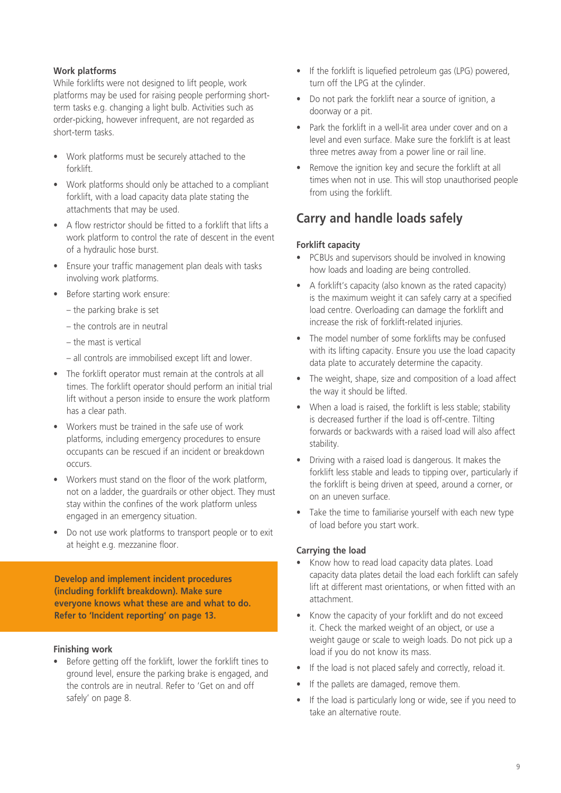### **Work platforms**

While forklifts were not designed to lift people, work platforms may be used for raising people performing shortterm tasks e.g. changing a light bulb. Activities such as order-picking, however infrequent, are not regarded as short-term tasks.

- Work platforms must be securely attached to the forklift.
- Work platforms should only be attached to a compliant forklift, with a load capacity data plate stating the attachments that may be used.
- A flow restrictor should be fitted to a forklift that lifts a work platform to control the rate of descent in the event of a hydraulic hose burst.
- • Ensure your traffic management plan deals with tasks involving work platforms.
- Before starting work ensure:
	- the parking brake is set
	- the controls are in neutral
	- the mast is vertical
	- all controls are immobilised except lift and lower.
- The forklift operator must remain at the controls at all times. The forklift operator should perform an initial trial lift without a person inside to ensure the work platform has a clear path.
- Workers must be trained in the safe use of work platforms, including emergency procedures to ensure occupants can be rescued if an incident or breakdown occurs.
- Workers must stand on the floor of the work platform, not on a ladder, the guardrails or other object. They must stay within the confines of the work platform unless engaged in an emergency situation.
- Do not use work platforms to transport people or to exit at height e.g. mezzanine floor.

**Develop and implement incident procedures (including forklift breakdown). Make sure everyone knows what these are and what to do. Refer to 'Incident reporting' on page 13.** 

#### **Finishing work**

• Before getting off the forklift, lower the forklift tines to ground level, ensure the parking brake is engaged, and the controls are in neutral. Refer to 'Get on and off safely' on page 8.

- If the forklift is liquefied petroleum gas (LPG) powered, turn off the LPG at the cylinder.
- Do not park the forklift near a source of ignition, a doorway or a pit.
- Park the forklift in a well-lit area under cover and on a level and even surface. Make sure the forklift is at least three metres away from a power line or rail line.
- Remove the ignition key and secure the forklift at all times when not in use. This will stop unauthorised people from using the forklift.

### **Carry and handle loads safely**

### **Forklift capacity**

- PCBUs and supervisors should be involved in knowing how loads and loading are being controlled.
- A forklift's capacity (also known as the rated capacity) is the maximum weight it can safely carry at a specified load centre. Overloading can damage the forklift and increase the risk of forklift-related injuries.
- The model number of some forklifts may be confused with its lifting capacity. Ensure you use the load capacity data plate to accurately determine the capacity.
- The weight, shape, size and composition of a load affect the way it should be lifted.
- When a load is raised, the forklift is less stable; stability is decreased further if the load is off-centre. Tilting forwards or backwards with a raised load will also affect stability.
- Driving with a raised load is dangerous. It makes the forklift less stable and leads to tipping over, particularly if the forklift is being driven at speed, around a corner, or on an uneven surface.
- Take the time to familiarise yourself with each new type of load before you start work.

### **Carrying the load**

- Know how to read load capacity data plates. Load capacity data plates detail the load each forklift can safely lift at different mast orientations, or when fitted with an attachment.
- Know the capacity of your forklift and do not exceed it. Check the marked weight of an object, or use a weight gauge or scale to weigh loads. Do not pick up a load if you do not know its mass.
- If the load is not placed safely and correctly, reload it.
- If the pallets are damaged, remove them.
- If the load is particularly long or wide, see if you need to take an alternative route.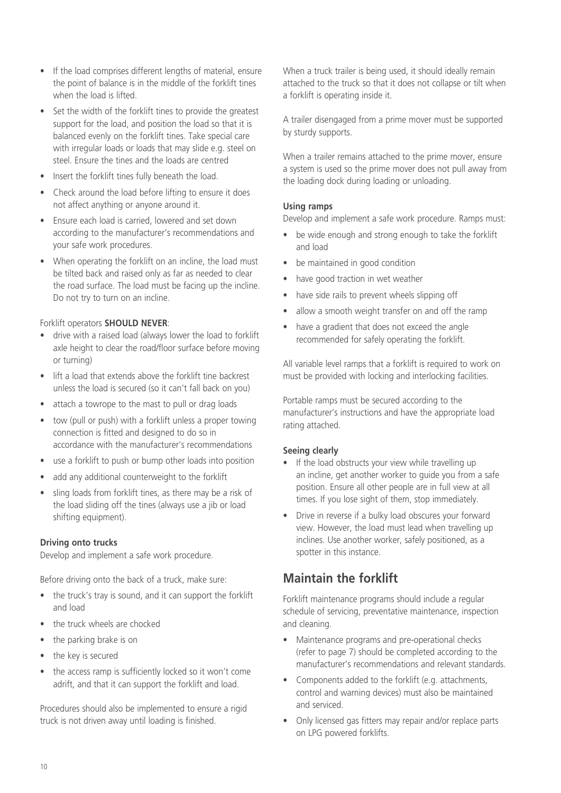- If the load comprises different lengths of material, ensure the point of balance is in the middle of the forklift tines when the load is lifted.
- Set the width of the forklift tines to provide the greatest support for the load, and position the load so that it is balanced evenly on the forklift tines. Take special care with irregular loads or loads that may slide e.g. steel on steel. Ensure the tines and the loads are centred
- Insert the forklift tines fully beneath the load.
- Check around the load before lifting to ensure it does not affect anything or anyone around it.
- Ensure each load is carried, lowered and set down according to the manufacturer's recommendations and your safe work procedures.
- When operating the forklift on an incline, the load must be tilted back and raised only as far as needed to clear the road surface. The load must be facing up the incline. Do not try to turn on an incline.

### Forklift operators **SHOULD NEVER**:

- drive with a raised load (always lower the load to forklift axle height to clear the road/floor surface before moving or turning)
- lift a load that extends above the forklift tine backrest unless the load is secured (so it can't fall back on you)
- attach a towrope to the mast to pull or drag loads
- tow (pull or push) with a forklift unless a proper towing connection is fitted and designed to do so in accordance with the manufacturer's recommendations
- use a forklift to push or bump other loads into position
- add any additional counterweight to the forklift
- sling loads from forklift tines, as there may be a risk of the load sliding off the tines (always use a jib or load shifting equipment).

### **Driving onto trucks**

Develop and implement a safe work procedure.

Before driving onto the back of a truck, make sure:

- the truck's tray is sound, and it can support the forklift and load
- the truck wheels are chocked
- the parking brake is on
- the key is secured
- the access ramp is sufficiently locked so it won't come adrift, and that it can support the forklift and load.

Procedures should also be implemented to ensure a rigid truck is not driven away until loading is finished.

When a truck trailer is being used, it should ideally remain attached to the truck so that it does not collapse or tilt when a forklift is operating inside it.

A trailer disengaged from a prime mover must be supported by sturdy supports.

When a trailer remains attached to the prime mover, ensure a system is used so the prime mover does not pull away from the loading dock during loading or unloading.

### **Using ramps**

Develop and implement a safe work procedure. Ramps must:

- be wide enough and strong enough to take the forklift and load
- be maintained in good condition
- have good traction in wet weather
- have side rails to prevent wheels slipping off
- allow a smooth weight transfer on and off the ramp
- have a gradient that does not exceed the angle recommended for safely operating the forklift.

All variable level ramps that a forklift is required to work on must be provided with locking and interlocking facilities.

Portable ramps must be secured according to the manufacturer's instructions and have the appropriate load rating attached.

### **Seeing clearly**

- If the load obstructs your view while travelling up an incline, get another worker to guide you from a safe position. Ensure all other people are in full view at all times. If you lose sight of them, stop immediately.
- Drive in reverse if a bulky load obscures your forward view. However, the load must lead when travelling up inclines. Use another worker, safely positioned, as a spotter in this instance.

### **Maintain the forklift**

Forklift maintenance programs should include a regular schedule of servicing, preventative maintenance, inspection and cleaning.

- Maintenance programs and pre-operational checks (refer to page 7) should be completed according to the manufacturer's recommendations and relevant standards.
- Components added to the forklift (e.g. attachments, control and warning devices) must also be maintained and serviced.
- Only licensed gas fitters may repair and/or replace parts on LPG powered forklifts.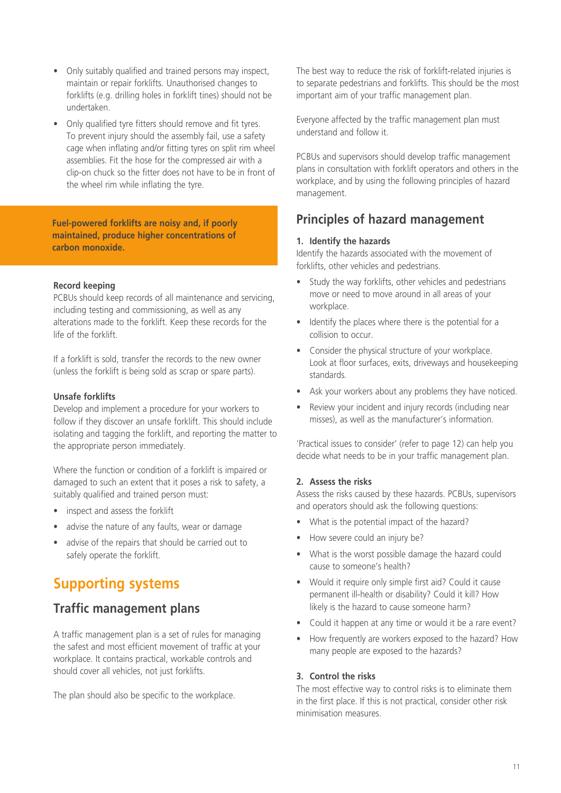- Only suitably qualified and trained persons may inspect, maintain or repair forklifts. Unauthorised changes to forklifts (e.g. drilling holes in forklift tines) should not be undertaken.
- Only qualified tyre fitters should remove and fit tyres. To prevent injury should the assembly fail, use a safety cage when inflating and/or fitting tyres on split rim wheel assemblies. Fit the hose for the compressed air with a clip-on chuck so the fitter does not have to be in front of the wheel rim while inflating the tyre.

**Fuel-powered forklifts are noisy and, if poorly maintained, produce higher concentrations of carbon monoxide.** 

### **Record keeping**

PCBUs should keep records of all maintenance and servicing, including testing and commissioning, as well as any alterations made to the forklift. Keep these records for the life of the forklift.

If a forklift is sold, transfer the records to the new owner (unless the forklift is being sold as scrap or spare parts).

#### **Unsafe forklifts**

Develop and implement a procedure for your workers to follow if they discover an unsafe forklift. This should include isolating and tagging the forklift, and reporting the matter to the appropriate person immediately.

Where the function or condition of a forklift is impaired or damaged to such an extent that it poses a risk to safety, a suitably qualified and trained person must:

- inspect and assess the forklift
- advise the nature of any faults, wear or damage
- advise of the repairs that should be carried out to safely operate the forklift.

# **Supporting systems**

### **Traffic management plans**

A traffic management plan is a set of rules for managing the safest and most efficient movement of traffic at your workplace. It contains practical, workable controls and should cover all vehicles, not just forklifts.

The plan should also be specific to the workplace.

The best way to reduce the risk of forklift-related injuries is to separate pedestrians and forklifts. This should be the most important aim of your traffic management plan.

Everyone affected by the traffic management plan must understand and follow it.

PCBUs and supervisors should develop traffic management plans in consultation with forklift operators and others in the workplace, and by using the following principles of hazard management.

### **Principles of hazard management**

#### **1. Identify the hazards**

Identify the hazards associated with the movement of forklifts, other vehicles and pedestrians.

- Study the way forklifts, other vehicles and pedestrians move or need to move around in all areas of your workplace.
- Identify the places where there is the potential for a collision to occur.
- Consider the physical structure of your workplace. Look at floor surfaces, exits, driveways and housekeeping standards.
- Ask your workers about any problems they have noticed.
- Review your incident and injury records (including near misses), as well as the manufacturer's information.

'Practical issues to consider' (refer to page 12) can help you decide what needs to be in your traffic management plan.

### **2. Assess the risks**

Assess the risks caused by these hazards. PCBUs, supervisors and operators should ask the following questions:

- What is the potential impact of the hazard?
- How severe could an injury be?
- What is the worst possible damage the hazard could cause to someone's health?
- Would it require only simple first aid? Could it cause permanent ill-health or disability? Could it kill? How likely is the hazard to cause someone harm?
- Could it happen at any time or would it be a rare event?
- How frequently are workers exposed to the hazard? How many people are exposed to the hazards?

#### **3. Control the risks**

The most effective way to control risks is to eliminate them in the first place. If this is not practical, consider other risk minimisation measures.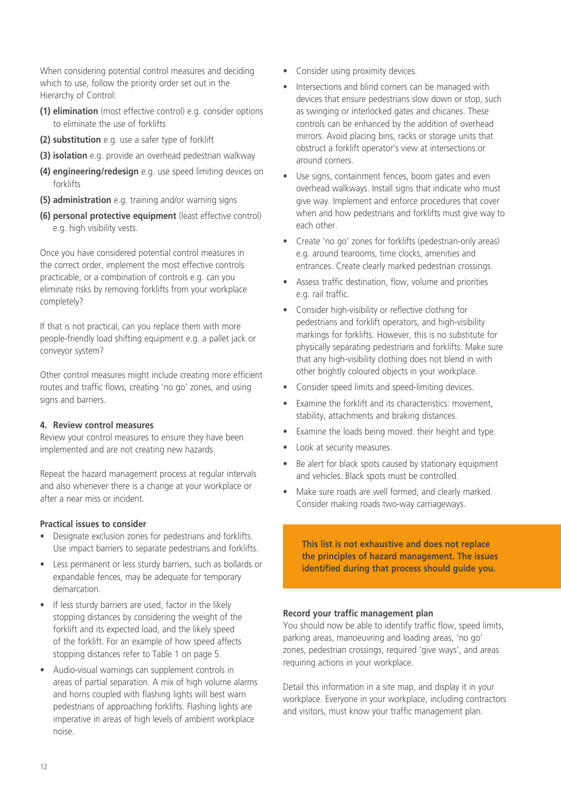When considering potential control measures and deciding which to use, follow the priority order set out in the Hierarchy of Control:

- **(1) elimination** (most effective control) e.g. consider options to eliminate the use of forklifts
- **(2) substitution** e.g. use a safer type of forklift
- **(3) isolation** e.g. provide an overhead pedestrian walkway
- **(4) engineering/redesign** e.g. use speed limiting devices on forklifts
- **(5) administration** e.g. training and/or warning signs
- **(6) personal protective equipment** (least effective control) e.g. high visibility vests.

Once you have considered potential control measures in the correct order, implement the most effective controls practicable, or a combination of controls e.g. can you eliminate risks by removing forklifts from your workplace completely?

If that is not practical, can you replace them with more people-friendly load shifting equipment e.g. a pallet jack or conveyor system?

Other control measures might include creating more efficient routes and traffic flows, creating 'no go' zones, and using signs and barriers.

#### **4. Review control measures**

Review your control measures to ensure they have been implemented and are not creating new hazards.

Repeat the hazard management process at regular intervals and also whenever there is a change at your workplace or after a near miss or incident.

### **Practical issues to consider**

- Designate exclusion zones for pedestrians and forklifts. Use impact barriers to separate pedestrians and forklifts.
- Less permanent or less sturdy barriers, such as bollards or expandable fences, may be adequate for temporary demarcation.
- If less sturdy barriers are used, factor in the likely stopping distances by considering the weight of the forklift and its expected load, and the likely speed of the forklift. For an example of how speed affects stopping distances refer to Table 1 on page 5.
- • Audio-visual warnings can supplement controls in areas of partial separation. A mix of high volume alarms and horns coupled with flashing lights will best warn pedestrians of approaching forklifts. Flashing lights are imperative in areas of high levels of ambient workplace noise.
- Consider using proximity devices.
- Intersections and blind corners can be managed with devices that ensure pedestrians slow down or stop, such as swinging or interlocked gates and chicanes. These controls can be enhanced by the addition of overhead mirrors. Avoid placing bins, racks or storage units that obstruct a forklift operator's view at intersections or around corners.
- Use signs, containment fences, boom gates and even overhead walkways. Install signs that indicate who must give way. Implement and enforce procedures that cover when and how pedestrians and forklifts must give way to each other.
- Create 'no go' zones for forklifts (pedestrian-only areas) e.g. around tearooms, time clocks, amenities and entrances. Create clearly marked pedestrian crossings.
- Assess traffic destination, flow, volume and priorities e.g. rail traffic.
- Consider high-visibility or reflective clothing for pedestrians and forklift operators, and high-visibility markings for forklifts. However, this is no substitute for physically separating pedestrians and forklifts. Make sure that any high-visibility clothing does not blend in with other brightly coloured objects in your workplace.
- Consider speed limits and speed-limiting devices.
- Examine the forklift and its characteristics: movement, stability, attachments and braking distances.
- Examine the loads being moved: their height and type.
- Look at security measures.
- Be alert for black spots caused by stationary equipment and vehicles. Black spots must be controlled.
- Make sure roads are well formed, and clearly marked. Consider making roads two-way carriageways.

**This list is not exhaustive and does not replace the principles of hazard management. The issues identified during that process should guide you.** 

### **Record your traffic management plan**

You should now be able to identify traffic flow, speed limits, parking areas, manoeuvring and loading areas, 'no go' zones, pedestrian crossings, required 'give ways', and areas requiring actions in your workplace.

Detail this information in a site map, and display it in your workplace. Everyone in your workplace, including contractors and visitors, must know your traffic management plan.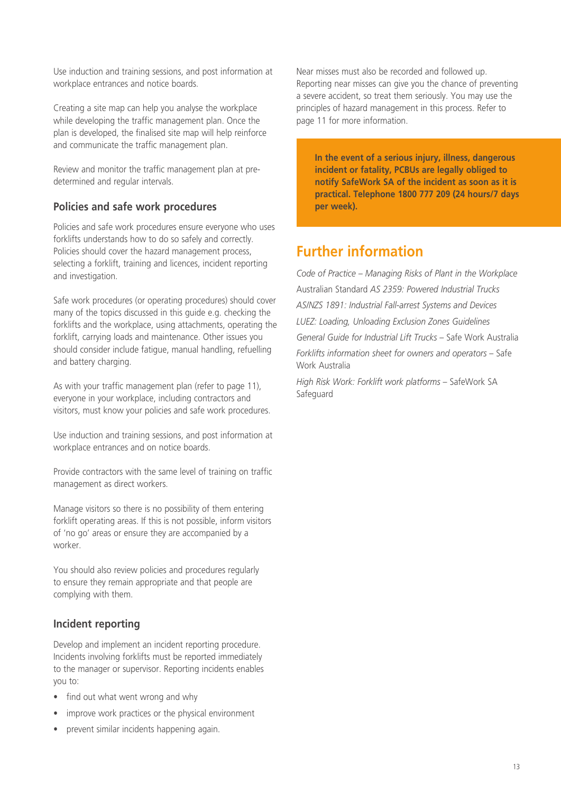Use induction and training sessions, and post information at workplace entrances and notice boards.

Creating a site map can help you analyse the workplace while developing the traffic management plan. Once the plan is developed, the finalised site map will help reinforce and communicate the traffic management plan.

Review and monitor the traffic management plan at predetermined and regular intervals.

### **Policies and safe work procedures**

Policies and safe work procedures ensure everyone who uses forklifts understands how to do so safely and correctly. Policies should cover the hazard management process, selecting a forklift, training and licences, incident reporting and investigation.

Safe work procedures (or operating procedures) should cover many of the topics discussed in this guide e.g. checking the forklifts and the workplace, using attachments, operating the forklift, carrying loads and maintenance. Other issues you should consider include fatigue, manual handling, refuelling and battery charging.

As with your traffic management plan (refer to page 11), everyone in your workplace, including contractors and visitors, must know your policies and safe work procedures.

Use induction and training sessions, and post information at workplace entrances and on notice boards.

Provide contractors with the same level of training on traffic management as direct workers.

Manage visitors so there is no possibility of them entering forklift operating areas. If this is not possible, inform visitors of 'no go' areas or ensure they are accompanied by a worker.

You should also review policies and procedures regularly to ensure they remain appropriate and that people are complying with them.

### **Incident reporting**

Develop and implement an incident reporting procedure. Incidents involving forklifts must be reported immediately to the manager or supervisor. Reporting incidents enables you to:

- find out what went wrong and why
- improve work practices or the physical environment
- prevent similar incidents happening again.

Near misses must also be recorded and followed up. Reporting near misses can give you the chance of preventing a severe accident, so treat them seriously. You may use the principles of hazard management in this process. Refer to page 11 for more information.

**In the event of a serious injury, illness, dangerous incident or fatality, PCBUs are legally obliged to notify SafeWork SA of the incident as soon as it is practical. Telephone 1800 777 209 (24 hours/7 days per week).**

### **Further information**

*Code of Practice – Managing Risks of Plant in the Workplace* Australian Standard *AS 2359: Powered Industrial Trucks AS/NZS 1891: Industrial Fall-arrest Systems and Devices LUEZ: Loading, Unloading Exclusion Zones Guidelines General Guide for Industrial Lift Trucks* – Safe Work Australia *Forklifts information sheet for owners and operators* – Safe Work Australia

*High Risk Work: Forklift work platforms* – SafeWork SA **Safeguard**